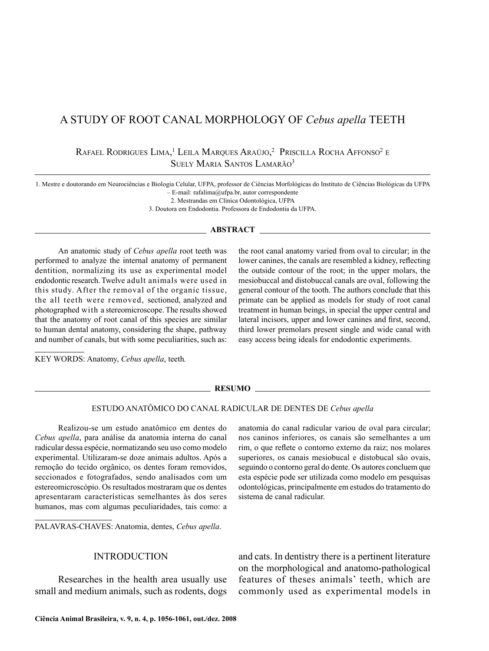# A STUDY OF ROOT CANAL MORPHOLOGY OF *Cebus apella* TEETH

Rafael Rodrigues Lima, <sup>1</sup> Leila Marques Araújo, 2 Priscilla Rocha Affonso2 <sup>e</sup> Suely Maria Santos Lamarão3

1. Mestre e doutorando em Neurociências e Biologia Celular, UFPA, professor de Ciências Morfológicas do Instituto de Ciências Biológicas da UFPA  $-$  E-mail: rafalima@ufpa.br, autor correspondente

2. Mestrandas em Clínica Odontológica, UFPA

3. Doutora em Endodontia. Professora de Endodontia da UFPA.

#### **ABSTRACT**

An anatomic study of *Cebus apella* root teeth was performed to analyze the internal anatomy of permanent dentition, normalizing its use as experimental model endodontic research. Twelve adult animals were used in this study. After the removal of the organic tissue, the all teeth were removed, sectioned, analyzed and photographed with a stereomicroscope. The results showed that the anatomy of root canal of this species are similar to human dental anatomy, considering the shape, pathway and number of canals, but with some peculiarities, such as:

the root canal anatomy varied from oval to circular; in the lower canines, the canals are resembled a kidney, reflecting the outside contour of the root; in the upper molars, the mesiobuccal and distobuccal canals are oval, following the general contour of the tooth. The authors conclude that this primate can be applied as models for study of root canal treatment in human beings, in special the upper central and lateral incisors, upper and lower canines and first, second, third lower premolars present single and wide canal with easy access being ideals for endodontic experiments.

KEY WORDS: Anatomy, *Cebus apella*, teeth*.*

#### **RESUMO**

#### ESTUDO ANATÔMICO DO CANAL RADICULAR DE DENTES DE *Cebus apella*

Realizou-se um estudo anatômico em dentes do *Cebus apella*, para análise da anatomia interna do canal radicular dessa espécie, normatizando seu uso como modelo experimental. Utilizaram-se doze animais adultos. Após a remoção do tecido orgânico, os dentes foram removidos, seccionados e fotografados, sendo analisados com um estereomicroscópio. Os resultados mostraram que os dentes apresentaram características semelhantes às dos seres humanos, mas com algumas peculiaridades, tais como: a

PALAVRAS-CHAVES: Anatomia, dentes, *Cebus apella*.

#### INTRODUCTION

Researches in the health area usually use small and medium animals, such as rodents, dogs

anatomia do canal radicular variou de oval para circular; nos caninos inferiores, os canais são semelhantes a um rim, o que reflete o contorno externo da raiz; nos molares superiores, os canais mesiobucal e distobucal são ovais, seguindo o contorno geral do dente. Os autores concluem que esta espécie pode ser utilizada como modelo em pesquisas odontológicas, principalmente em estudos do tratamento do sistema de canal radicular.

and cats. In dentistry there is a pertinent literature on the morphological and anatomo-pathological features of theses animals' teeth, which are commonly used as experimental models in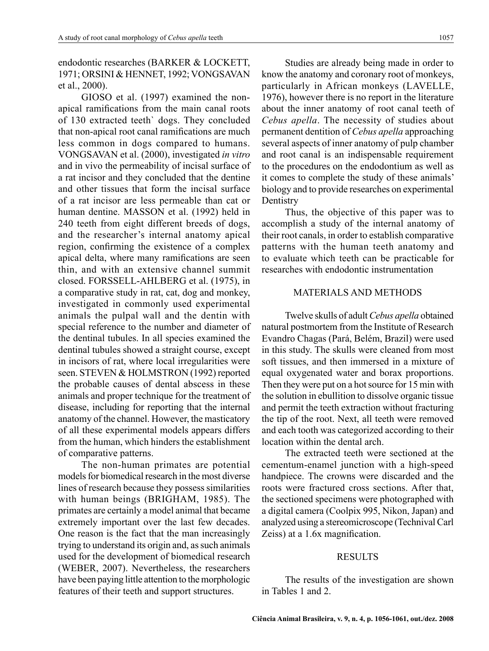## endodontic researches (BARKER & LOCKETT, 1971; ORSINI & HENNET, 1992; VONGSAVAN et al., 2000).

GIOSO et al. (1997) examined the nonapical ramifications from the main canal roots of 130 extracted teeth` dogs. They concluded that non-apical root canal ramifications are much less common in dogs compared to humans. VONGSAVAN et al. (2000), investigated *in vitro*  and in vivo the permeability of incisal surface of a rat incisor and they concluded that the dentine and other tissues that form the incisal surface of a rat incisor are less permeable than cat or human dentine. MASSON et al. (1992) held in 240 teeth from eight different breeds of dogs, and the researcher's internal anatomy apical region, confirming the existence of a complex apical delta, where many ramifications are seen thin, and with an extensive channel summit closed. FORSSELL-AHLBERG et al. (1975), in a comparative study in rat, cat, dog and monkey, investigated in commonly used experimental animals the pulpal wall and the dentin with special reference to the number and diameter of the dentinal tubules. In all species examined the dentinal tubules showed a straight course, except in incisors of rat, where local irregularities were seen. STEVEN & HOLMSTRON (1992) reported the probable causes of dental abscess in these animals and proper technique for the treatment of disease, including for reporting that the internal anatomy of the channel. However, the masticatory of all these experimental models appears differs from the human, which hinders the establishment of comparative patterns.

The non-human primates are potential models for biomedical research in the most diverse lines of research because they possess similarities with human beings (BRIGHAM, 1985). The primates are certainly a model animal that became extremely important over the last few decades. One reason is the fact that the man increasingly trying to understand its origin and, as such animals used for the development of biomedical research (WEBER, 2007). Nevertheless, the researchers have been paying little attention to the morphologic features of their teeth and support structures.

Studies are already being made in order to know the anatomy and coronary root of monkeys, particularly in African monkeys (LAVELLE, 1976), however there is no report in the literature about the inner anatomy of root canal teeth of *Cebus apella*. The necessity of studies about permanent dentition of *Cebus apella* approaching several aspects of inner anatomy of pulp chamber and root canal is an indispensable requirement to the procedures on the endodontium as well as it comes to complete the study of these animals' biology and to provide researches on experimental **Dentistry** 

Thus, the objective of this paper was to accomplish a study of the internal anatomy of their root canals, in order to establish comparative patterns with the human teeth anatomy and to evaluate which teeth can be practicable for researches with endodontic instrumentation

### MATERIALS AND METHODS

Twelve skulls of adult *Cebus apella* obtained natural postmortem from the Institute of Research Evandro Chagas (Pará, Belém, Brazil) were used in this study. The skulls were cleaned from most soft tissues, and then immersed in a mixture of equal oxygenated water and borax proportions. Then they were put on a hot source for 15 min with the solution in ebullition to dissolve organic tissue and permit the teeth extraction without fracturing the tip of the root. Next, all teeth were removed and each tooth was categorized according to their location within the dental arch.

The extracted teeth were sectioned at the cementum-enamel junction with a high-speed handpiece. The crowns were discarded and the roots were fractured cross sections. After that, the sectioned specimens were photographed with a digital camera (Coolpix 995, Nikon, Japan) and analyzed using a stereomicroscope (Technival Carl Zeiss) at a 1.6x magnification.

#### RESULTS

The results of the investigation are shown in Tables 1 and 2.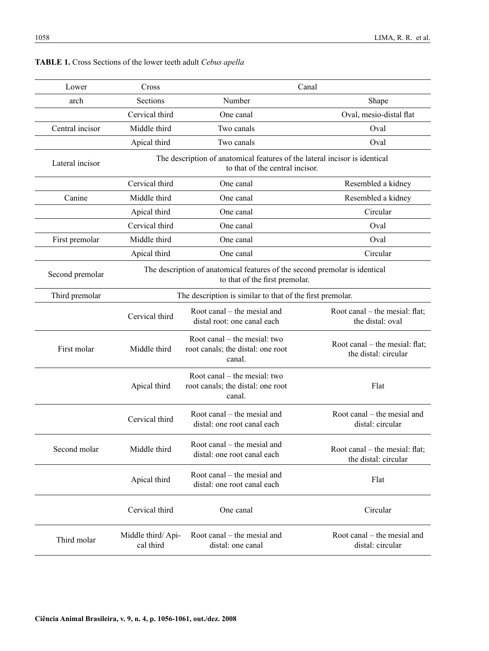| Lower           | Cross                                                                                                         | Canal                                                                       |                                                        |  |
|-----------------|---------------------------------------------------------------------------------------------------------------|-----------------------------------------------------------------------------|--------------------------------------------------------|--|
| arch            | Sections                                                                                                      | Number                                                                      | Shape                                                  |  |
|                 | Cervical third                                                                                                | One canal                                                                   | Oval, mesio-distal flat                                |  |
| Central incisor | Middle third                                                                                                  | Two canals                                                                  | Oval                                                   |  |
|                 | Apical third                                                                                                  | Two canals                                                                  | Oval                                                   |  |
| Lateral incisor | The description of anatomical features of the lateral incisor is identical<br>to that of the central incisor. |                                                                             |                                                        |  |
|                 | Cervical third                                                                                                | One canal                                                                   | Resembled a kidney                                     |  |
| Canine          | Middle third                                                                                                  | One canal                                                                   | Resembled a kidney                                     |  |
|                 | Apical third                                                                                                  | One canal                                                                   | Circular                                               |  |
|                 | Cervical third                                                                                                | One canal                                                                   | Oval                                                   |  |
| First premolar  | Middle third                                                                                                  | One canal                                                                   | Oval                                                   |  |
|                 | Apical third                                                                                                  | One canal                                                                   | Circular                                               |  |
| Second premolar | The description of anatomical features of the second premolar is identical<br>to that of the first premolar.  |                                                                             |                                                        |  |
| Third premolar  | The description is similar to that of the first premolar.                                                     |                                                                             |                                                        |  |
|                 | Cervical third                                                                                                | Root canal – the mesial and<br>distal root: one canal each                  | Root canal – the mesial: flat;<br>the distal: oval     |  |
| First molar     | Middle third                                                                                                  | Root canal – the mesial: two<br>root canals; the distal: one root<br>canal. | Root canal – the mesial: flat;<br>the distal: circular |  |
|                 | Apical third                                                                                                  | Root canal – the mesial: two<br>root canals; the distal: one root<br>canal. | Flat                                                   |  |
|                 | Cervical third                                                                                                | Root canal – the mesial and<br>distal: one root canal each                  | Root canal – the mesial and<br>distal: circular        |  |
| Second molar    | Middle third                                                                                                  | Root canal – the mesial and<br>distal: one root canal each                  | Root canal – the mesial: flat;<br>the distal: circular |  |
|                 | Apical third                                                                                                  | Root canal – the mesial and<br>distal: one root canal each                  | Flat                                                   |  |
|                 | Cervical third                                                                                                | One canal                                                                   | Circular                                               |  |
| Third molar     | Middle third/Api-<br>cal third                                                                                | Root canal – the mesial and<br>distal: one canal                            | Root canal – the mesial and<br>distal: circular        |  |
|                 |                                                                                                               |                                                                             |                                                        |  |

## **TABLE 1.** Cross Sections of the lower teeth adult *Cebus apella*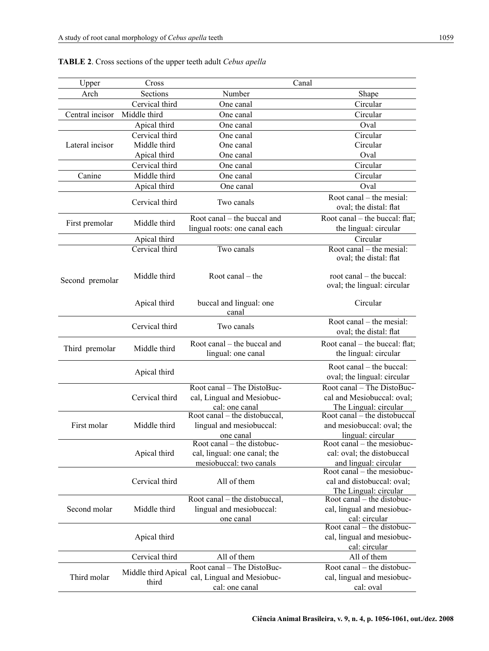| Upper           | Cross               |                                                   | Canal                                                   |
|-----------------|---------------------|---------------------------------------------------|---------------------------------------------------------|
| Arch            | Sections            | Number                                            | Shape                                                   |
|                 | Cervical third      | One canal                                         | Circular                                                |
| Central incisor | Middle third        | One canal                                         | Circular                                                |
|                 | Apical third        | One canal                                         | Oval                                                    |
|                 | Cervical third      | One canal                                         | Circular                                                |
| Lateral incisor | Middle third        | One canal                                         | Circular                                                |
|                 | Apical third        | One canal                                         | Oval                                                    |
|                 | Cervical third      | One canal                                         | Circular                                                |
| Canine          | Middle third        | One canal                                         | Circular                                                |
|                 | Apical third        | One canal                                         | Oval                                                    |
|                 |                     |                                                   |                                                         |
|                 | Cervical third      | Two canals                                        | Root canal – the mesial:<br>oval; the distal: flat      |
| First premolar  | Middle third        | Root canal – the buccal and                       | Root canal – the buccal: flat;                          |
|                 |                     | lingual roots: one canal each                     | the lingual: circular                                   |
|                 | Apical third        |                                                   | Circular                                                |
|                 | Cervical third      | Two canals                                        | Root canal – the mesial:                                |
|                 |                     |                                                   | oval; the distal: flat                                  |
| Second premolar | Middle third        | Root canal $-$ the                                | root canal - the buccal:<br>oval; the lingual: circular |
|                 | Apical third        | buccal and lingual: one<br>canal                  | Circular                                                |
|                 | Cervical third      | Two canals                                        | Root canal – the mesial:<br>oval; the distal: flat      |
|                 |                     |                                                   |                                                         |
| Third premolar  | Middle third        | Root canal – the buccal and<br>lingual: one canal | Root canal – the buccal: flat;<br>the lingual: circular |
|                 | Apical third        |                                                   | Root canal – the buccal:                                |
|                 |                     |                                                   | oval; the lingual: circular                             |
|                 |                     | Root canal - The DistoBuc-                        | Root canal - The DistoBuc-                              |
|                 | Cervical third      | cal, Lingual and Mesiobuc-                        | cal and Mesiobuccal: oval;                              |
|                 |                     | cal: one canal                                    | The Lingual: circular<br>Root canal – the distobuccal   |
|                 | Middle third        | Root canal – the distobuccal,                     | and mesiobuccal: oval; the                              |
| First molar     |                     | lingual and mesiobuccal:                          | lingual: circular                                       |
|                 |                     | one canal<br>Root canal – the distobuc-           | Root canal $-$ the mesiobuc-                            |
|                 | Apical third        | cal, lingual: one canal; the                      | cal: oval; the distobuccal                              |
|                 |                     | mesiobuccal: two canals                           | and lingual: circular                                   |
|                 |                     |                                                   | Root canal – the mesiobuc-                              |
|                 | Cervical third      | All of them                                       | cal and distobuccal: oval;                              |
|                 |                     |                                                   | The Lingual: circular                                   |
|                 |                     | Root canal – the distobuccal,                     | Root canal – the distobuc-                              |
| Second molar    | Middle third        | lingual and mesiobuccal:                          | cal, lingual and mesiobuc-                              |
|                 |                     | one canal                                         | cal: circular                                           |
|                 |                     |                                                   | Root canal $-$ the distobuc-                            |
|                 | Apical third        |                                                   | cal, lingual and mesiobuc-                              |
|                 |                     |                                                   | cal: circular                                           |
|                 | Cervical third      | All of them                                       | All of them                                             |
| Third molar     | Middle third Apical | Root canal - The DistoBuc-                        | Root canal – the distobuc-                              |
|                 | third               | cal, Lingual and Mesiobuc-                        | cal, lingual and mesiobuc-                              |
|                 |                     | cal: one canal                                    | cal: oval                                               |

## **TABLE 2**. Cross sections of the upper teeth adult *Cebus apella*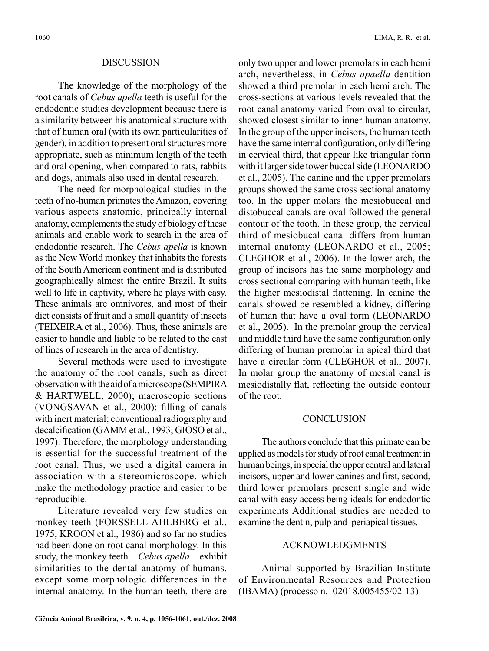### DISCUSSION

The knowledge of the morphology of the root canals of *Cebus apella* teeth is useful for the endodontic studies development because there is a similarity between his anatomical structure with that of human oral (with its own particularities of gender), in addition to present oral structures more appropriate, such as minimum length of the teeth and oral opening, when compared to rats, rabbits and dogs, animals also used in dental research.

The need for morphological studies in the teeth of no-human primates the Amazon, covering various aspects anatomic, principally internal anatomy, complements the study of biology of these animals and enable work to search in the area of endodontic research. The *Cebus apella* is known as the New World monkey that inhabits the forests of the South American continent and is distributed geographically almost the entire Brazil. It suits well to life in captivity, where he plays with easy. These animals are omnivores, and most of their diet consists of fruit and a small quantity of insects (TEIXEIRA et al., 2006). Thus, these animals are easier to handle and liable to be related to the cast of lines of research in the area of dentistry.

Several methods were used to investigate the anatomy of the root canals, such as direct observation with the aid of a microscope (SEMPIRA & HARTWELL, 2000); macroscopic sections (VONGSAVAN et al., 2000); filling of canals with inert material; conventional radiography and decalcification (GAMM et al., 1993; GIOSO et al., 1997). Therefore, the morphology understanding is essential for the successful treatment of the root canal. Thus, we used a digital camera in association with a stereomicroscope, which make the methodology practice and easier to be reproducible.

Literature revealed very few studies on monkey teeth (FORSSELL-AHLBERG et al., 1975; KROON et al., 1986) and so far no studies had been done on root canal morphology. In this study, the monkey teeth – *Cebus apella* – exhibit similarities to the dental anatomy of humans, except some morphologic differences in the internal anatomy. In the human teeth, there are

only two upper and lower premolars in each hemi arch, nevertheless, in *Cebus apaella* dentition showed a third premolar in each hemi arch. The cross-sections at various levels revealed that the root canal anatomy varied from oval to circular, showed closest similar to inner human anatomy. In the group of the upper incisors, the human teeth have the same internal configuration, only differing in cervical third, that appear like triangular form with it larger side tower buccal side (LEONARDO et al., 2005). The canine and the upper premolars groups showed the same cross sectional anatomy too. In the upper molars the mesiobuccal and distobuccal canals are oval followed the general contour of the tooth. In these group, the cervical third of mesiobucal canal differs from human internal anatomy (LEONARDO et al., 2005; CLEGHOR et al., 2006). In the lower arch, the group of incisors has the same morphology and cross sectional comparing with human teeth, like the higher mesiodistal flattening. In canine the canals showed be resembled a kidney, differing of human that have a oval form (LEONARDO et al., 2005). In the premolar group the cervical and middle third have the same configuration only differing of human premolar in apical third that have a circular form (CLEGHOR et al., 2007). In molar group the anatomy of mesial canal is mesiodistally flat, reflecting the outside contour of the root.

### **CONCLUSION**

The authors conclude that this primate can be applied as models for study of root canal treatment in human beings, in special the upper central and lateral incisors, upper and lower canines and first, second, third lower premolars present single and wide canal with easy access being ideals for endodontic experiments Additional studies are needed to examine the dentin, pulp and periapical tissues.

### ACKNOWLEDGMENTS

Animal supported by Brazilian Institute of Environmental Resources and Protection (IBAMA) (processo n. 02018.005455/02-13)